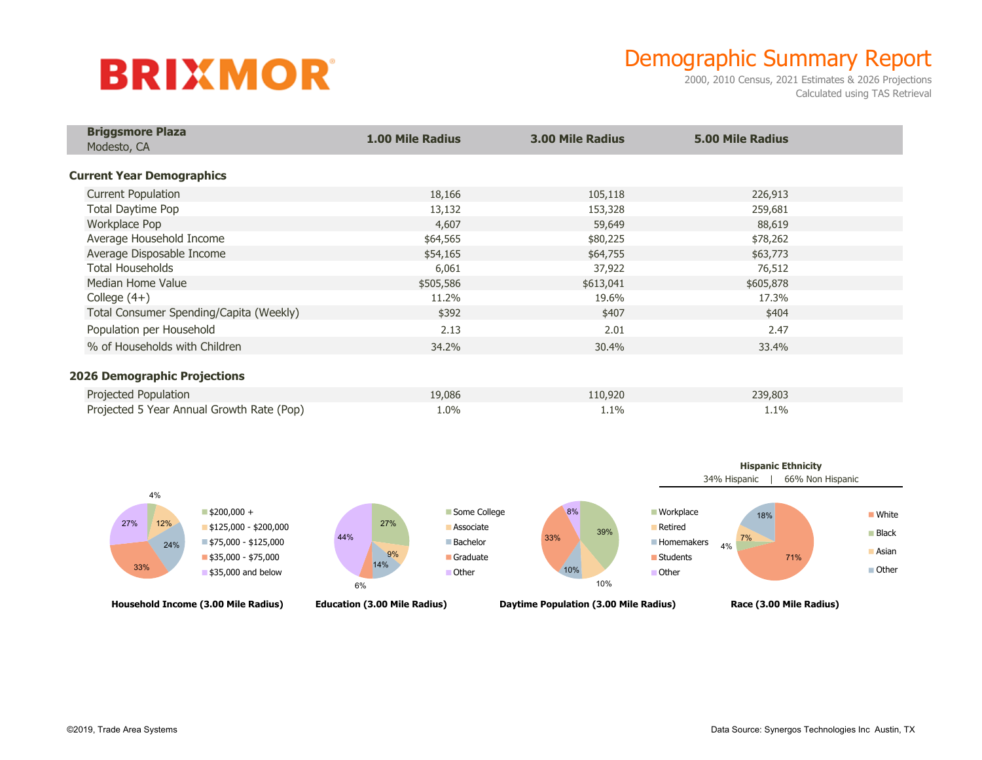## **BRIXMOR**

## Demographic Summary Report

2000, 2010 Census, 2021 Estimates & 2026 Projections Calculated using TAS Retrieval

| <b>Briggsmore Plaza</b><br>Modesto, CA    | <b>1.00 Mile Radius</b> | <b>3.00 Mile Radius</b> | <b>5.00 Mile Radius</b> |  |
|-------------------------------------------|-------------------------|-------------------------|-------------------------|--|
|                                           |                         |                         |                         |  |
| <b>Current Year Demographics</b>          |                         |                         |                         |  |
| <b>Current Population</b>                 | 18,166                  | 105,118                 | 226,913                 |  |
| Total Daytime Pop                         | 13,132                  | 153,328                 | 259,681                 |  |
| Workplace Pop                             | 4,607                   | 59,649                  | 88,619                  |  |
| Average Household Income                  | \$64,565                | \$80,225                | \$78,262                |  |
| Average Disposable Income                 | \$54,165                | \$64,755                | \$63,773                |  |
| <b>Total Households</b>                   | 6,061                   | 37,922                  | 76,512                  |  |
| Median Home Value                         | \$505,586               | \$613,041               | \$605,878               |  |
| College $(4+)$                            | 11.2%                   | 19.6%                   | 17.3%                   |  |
| Total Consumer Spending/Capita (Weekly)   | \$392                   | \$407                   | \$404                   |  |
| Population per Household                  | 2.13                    | 2.01                    | 2.47                    |  |
| % of Households with Children             | 34.2%                   | 30.4%                   | 33.4%                   |  |
|                                           |                         |                         |                         |  |
| <b>2026 Demographic Projections</b>       |                         |                         |                         |  |
| Projected Population                      | 19,086                  | 110,920                 | 239,803                 |  |
| Projected 5 Year Annual Growth Rate (Pop) | 1.0%                    | 1.1%                    | 1.1%                    |  |